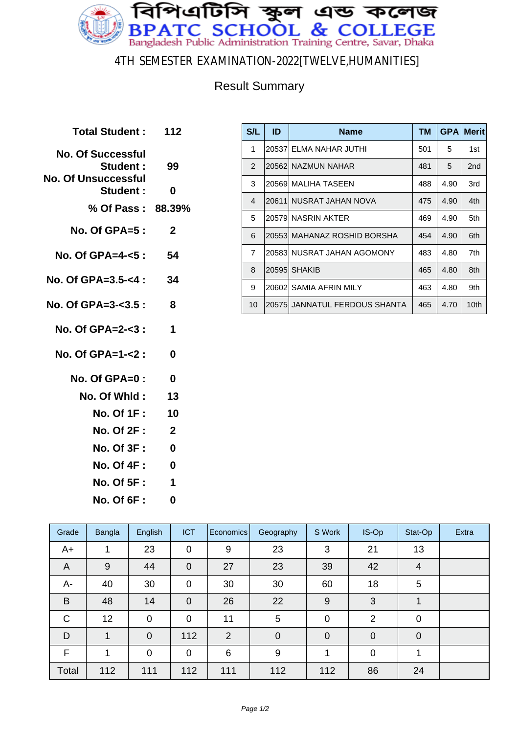

#### 4TH SEMESTER EXAMINATION-2022[TWELVE,HUMANITIES]

### Result Summary

| <b>Total Student: 112</b>                                   |              |
|-------------------------------------------------------------|--------------|
| <b>No. Of Successful</b><br>Student:<br>No. Of Unsuccessful | 99           |
| Student :                                                   | 0            |
| % Of Pass: 88.39%                                           |              |
| No. Of GPA=5:                                               | $\mathbf{2}$ |
| No. Of GPA=4-<5 :                                           | 54           |
| No. Of GPA=3.5-<4 :                                         | 34           |
| No. Of GPA=3-<3.5 :                                         | 8            |
| No. Of GPA=2-<3:                                            | 1            |
| No. Of GPA=1-<2 :                                           | 0            |
| No. Of GPA=0:                                               | 0            |
| No. Of Whid:                                                | 13           |
| <b>No. Of 1F:</b>                                           | 10           |
| <b>No. Of 2F:</b>                                           | $\mathbf{2}$ |
| <b>No. Of 3F :</b>                                          | 0            |
| <b>No. Of 4F:</b>                                           | $\bf{0}$     |
| <b>No. Of 5F:</b>                                           | 1            |
| <b>No. Of 6F:</b>                                           | 0            |
|                                                             |              |

| S/L            | ID     | <b>Name</b>                   | TМ  | <b>GPA</b> | <b>Merit</b>    |
|----------------|--------|-------------------------------|-----|------------|-----------------|
| 1              |        | 20537 ELMA NAHAR JUTHI        | 501 | 5          | 1st             |
| $\overline{2}$ |        | 20562 NAZMUN NAHAR            | 481 | 5          | 2 <sub>nd</sub> |
| 3              |        | 20569 MALIHA TASEEN           | 488 | 4.90       | 3rd             |
| $\overline{4}$ | 20611  | I NUSRAT JAHAN NOVA           | 475 | 4.90       | 4th             |
| 5              |        | 20579 NASRIN AKTER            | 469 | 4.90       | 5th             |
| 6              |        | 20553  MAHANAZ ROSHID BORSHA  | 454 | 4.90       | 6th             |
| $\overline{7}$ | 205831 | NUSRAT JAHAN AGOMONY          | 483 | 4.80       | 7th             |
| 8              | 20595  | <b>SHAKIB</b>                 | 465 | 4.80       | 8th             |
| 9              | 206021 | SAMIA AFRIN MILY              | 463 | 4.80       | 9th             |
| 10             |        | 20575 JANNATUL FERDOUS SHANTA | 465 | 4.70       | 10th            |

| Grade          | Bangla      | English        | <b>ICT</b>     | Economics | Geography      | S Work         | IS-Op          | Stat-Op        | Extra |
|----------------|-------------|----------------|----------------|-----------|----------------|----------------|----------------|----------------|-------|
| $A+$           | 1           | 23             | $\mathbf 0$    | 9         | 23             | 3              | 21             | 13             |       |
| $\overline{A}$ | 9           | 44             | $\mathbf 0$    | 27        | 23             | 39             | 42             | $\overline{4}$ |       |
| A-             | 40          | 30             | $\mathbf 0$    | 30        | 30             | 60             | 18             | 5              |       |
| B              | 48          | 14             | $\overline{0}$ | 26        | 22             | 9              | 3              | 1              |       |
| $\mathsf{C}$   | 12          | $\mathbf 0$    | $\overline{0}$ | 11        | 5              | $\overline{0}$ | $\overline{2}$ | 0              |       |
| D              | $\mathbf 1$ | $\overline{0}$ | 112            | 2         | $\overline{0}$ | $\overline{0}$ | $\mathbf 0$    | $\Omega$       |       |
| F              | 1           | $\overline{0}$ | $\overline{0}$ | 6         | 9              |                | $\overline{0}$ |                |       |
| Total          | 112         | 111            | 112            | 111       | 112            | 112            | 86             | 24             |       |